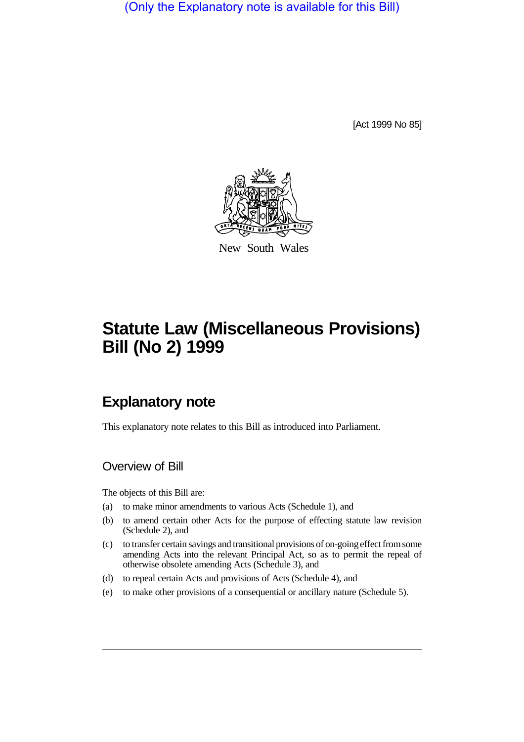(Only the Explanatory note is available for this Bill)

[Act 1999 No 85]



New South Wales

# **Statute Law (Miscellaneous Provisions) Bill (No 2) 1999**

## **Explanatory note**

This explanatory note relates to this Bill as introduced into Parliament.

### Overview of Bill

The objects of this Bill are:

- (a) to make minor amendments to various Acts (Schedule 1), and
- (b) to amend certain other Acts for the purpose of effecting statute law revision (Schedule 2), and
- (c) to transfer certain savings and transitional provisions of on-going effect from some amending Acts into the relevant Principal Act, so as to permit the repeal of otherwise obsolete amending Acts (Schedule 3), and
- (d) to repeal certain Acts and provisions of Acts (Schedule 4), and
- (e) to make other provisions of a consequential or ancillary nature (Schedule 5).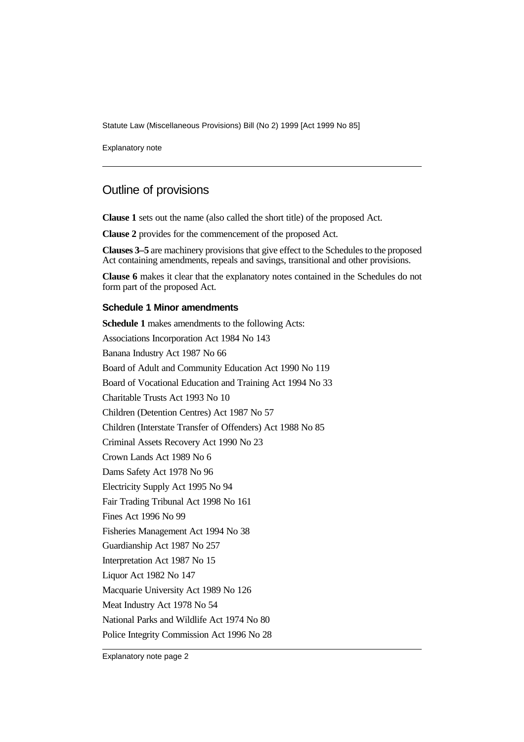Statute Law (Miscellaneous Provisions) Bill (No 2) 1999 [Act 1999 No 85]

Explanatory note

### Outline of provisions

**Clause 1** sets out the name (also called the short title) of the proposed Act.

**Clause 2** provides for the commencement of the proposed Act.

**Clauses 3–5** are machinery provisions that give effect to the Schedules to the proposed Act containing amendments, repeals and savings, transitional and other provisions.

**Clause 6** makes it clear that the explanatory notes contained in the Schedules do not form part of the proposed Act.

#### **Schedule 1 Minor amendments**

**Schedule 1** makes amendments to the following Acts: Associations Incorporation Act 1984 No 143 Banana Industry Act 1987 No 66 Board of Adult and Community Education Act 1990 No 119 Board of Vocational Education and Training Act 1994 No 33 Charitable Trusts Act 1993 No 10 Children (Detention Centres) Act 1987 No 57 Children (Interstate Transfer of Offenders) Act 1988 No 85 Criminal Assets Recovery Act 1990 No 23 Crown Lands Act 1989 No 6 Dams Safety Act 1978 No 96 Electricity Supply Act 1995 No 94 Fair Trading Tribunal Act 1998 No 161 Fines Act 1996 No 99 Fisheries Management Act 1994 No 38 Guardianship Act 1987 No 257 Interpretation Act 1987 No 15 Liquor Act 1982 No 147 Macquarie University Act 1989 No 126 Meat Industry Act 1978 No 54 National Parks and Wildlife Act 1974 No 80 Police Integrity Commission Act 1996 No 28

Explanatory note page 2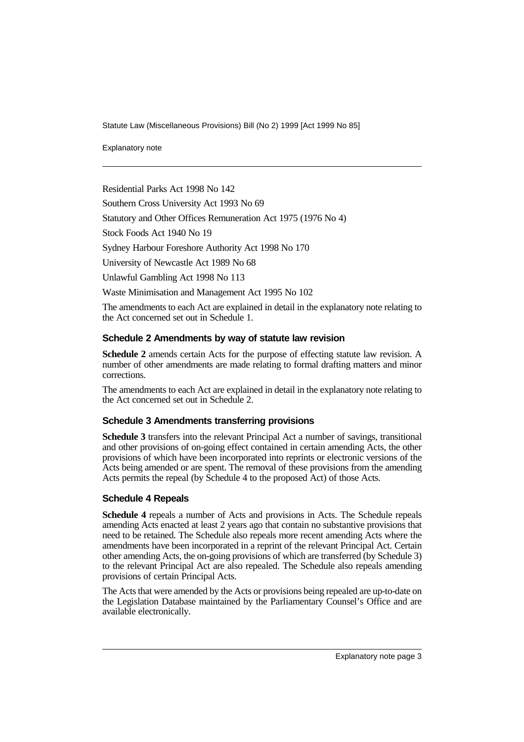Statute Law (Miscellaneous Provisions) Bill (No 2) 1999 [Act 1999 No 85]

Explanatory note

Residential Parks Act 1998 No 142

Southern Cross University Act 1993 No 69

Statutory and Other Offices Remuneration Act 1975 (1976 No 4)

Stock Foods Act 1940 No 19

Sydney Harbour Foreshore Authority Act 1998 No 170

University of Newcastle Act 1989 No 68

Unlawful Gambling Act 1998 No 113

Waste Minimisation and Management Act 1995 No 102

The amendments to each Act are explained in detail in the explanatory note relating to the Act concerned set out in Schedule 1.

#### **Schedule 2 Amendments by way of statute law revision**

**Schedule 2** amends certain Acts for the purpose of effecting statute law revision. A number of other amendments are made relating to formal drafting matters and minor corrections.

The amendments to each Act are explained in detail in the explanatory note relating to the Act concerned set out in Schedule 2.

#### **Schedule 3 Amendments transferring provisions**

**Schedule 3** transfers into the relevant Principal Act a number of savings, transitional and other provisions of on-going effect contained in certain amending Acts, the other provisions of which have been incorporated into reprints or electronic versions of the Acts being amended or are spent. The removal of these provisions from the amending Acts permits the repeal (by Schedule 4 to the proposed Act) of those Acts.

#### **Schedule 4 Repeals**

**Schedule 4** repeals a number of Acts and provisions in Acts. The Schedule repeals amending Acts enacted at least 2 years ago that contain no substantive provisions that need to be retained. The Schedule also repeals more recent amending Acts where the amendments have been incorporated in a reprint of the relevant Principal Act. Certain other amending Acts, the on-going provisions of which are transferred (by Schedule 3) to the relevant Principal Act are also repealed. The Schedule also repeals amending provisions of certain Principal Acts.

The Acts that were amended by the Acts or provisions being repealed are up-to-date on the Legislation Database maintained by the Parliamentary Counsel's Office and are available electronically.